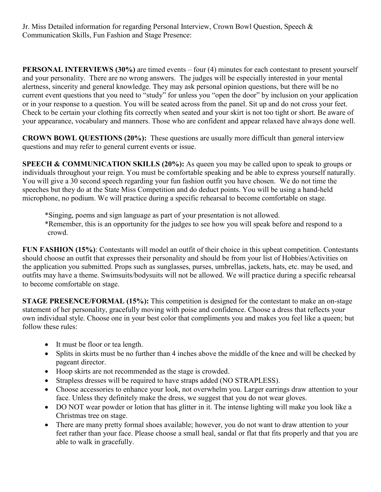Jr. Miss Detailed information for regarding Personal Interview, Crown Bowl Question, Speech & Communication Skills, Fun Fashion and Stage Presence:

**PERSONAL INTERVIEWS (30%)** are timed events – four (4) minutes for each contestant to present yourself and your personality. There are no wrong answers. The judges will be especially interested in your mental alertness, sincerity and general knowledge. They may ask personal opinion questions, but there will be no current event questions that you need to "study" for unless you "open the door" by inclusion on your application or in your response to a question. You will be seated across from the panel. Sit up and do not cross your feet. Check to be certain your clothing fits correctly when seated and your skirt is not too tight or short. Be aware of your appearance, vocabulary and manners. Those who are confident and appear relaxed have always done well.

**CROWN BOWL QUESTIONS (20%):** These questions are usually more difficult than general interview questions and may refer to general current events or issue.

**SPEECH & COMMUNICATION SKILLS (20%):** As queen you may be called upon to speak to groups or individuals throughout your reign. You must be comfortable speaking and be able to express yourself naturally. You will give a 30 second speech regarding your fun fashion outfit you have chosen. We do not time the speeches but they do at the State Miss Competition and do deduct points. You will be using a hand-held microphone, no podium. We will practice during a specific rehearsal to become comfortable on stage.

\*Singing, poems and sign language as part of your presentation is not allowed.

\*Remember, this is an opportunity for the judges to see how you will speak before and respond to a crowd.

**FUN FASHION (15%):** Contestants will model an outfit of their choice in this upbeat competition. Contestants should choose an outfit that expresses their personality and should be from your list of Hobbies/Activities on the application you submitted. Props such as sunglasses, purses, umbrellas, jackets, hats, etc. may be used, and outfits may have a theme. Swimsuits/bodysuits will not be allowed. We will practice during a specific rehearsal to become comfortable on stage.

**STAGE PRESENCE/FORMAL (15%):** This competition is designed for the contestant to make an on-stage statement of her personality, gracefully moving with poise and confidence. Choose a dress that reflects your own individual style. Choose one in your best color that compliments you and makes you feel like a queen; but follow these rules:

- It must be floor or tea length.
- Splits in skirts must be no further than 4 inches above the middle of the knee and will be checked by pageant director.
- Hoop skirts are not recommended as the stage is crowded.
- Strapless dresses will be required to have straps added (NO STRAPLESS).
- Choose accessories to enhance your look, not overwhelm you. Larger earrings draw attention to your face. Unless they definitely make the dress, we suggest that you do not wear gloves.
- DO NOT wear powder or lotion that has glitter in it. The intense lighting will make you look like a Christmas tree on stage.
- There are many pretty formal shoes available; however, you do not want to draw attention to your feet rather than your face. Please choose a small heal, sandal or flat that fits properly and that you are able to walk in gracefully.